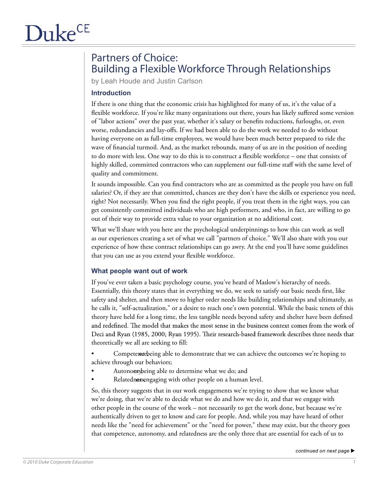# Partners of Choice: Building a Flexible Workforce Through Relationships

by Leah Houde and Justin Carlson

# **Introduction**

If there is one thing that the economic crisis has highlighted for many of us, it's the value of a flexible workforce. If you're like many organizations out there, yours has likely suffered some version of "labor actions" over the past year, whether it's salary or benefits reductions, furloughs, or, even worse, redundancies and lay-offs. If we had been able to do the work we needed to do without having everyone on as full-time employees, we would have been much better prepared to ride the wave of financial turmoil. And, as the market rebounds, many of us are in the position of needing to do more with less. One way to do this is to construct a flexible workforce – one that consists of highly skilled, committed contractors who can supplement our full-time staff with the same level of quality and commitment.

It sounds impossible. Can you find contractors who are as committed as the people you have on full salaries? Or, if they are that committed, chances are they don't have the skills or experience you need, right? Not necessarily. When you find the right people, if you treat them in the right ways, you can get consistently committed individuals who are high performers, and who, in fact, are willing to go out of their way to provide extra value to your organization at no additional cost.

What we'll share with you here are the psychological underpinnings to how this can work as well as our experiences creating a set of what we call "partners of choice." We'll also share with you our experience of how these contract relationships can go awry. At the end you'll have some guidelines that you can use as you extend your flexible workforce.

# **What people want out of work**

If you've ever taken a basic psychology course, you've heard of Maslow's hierarchy of needs. Essentially, this theory states that in everything we do, we seek to satisfy our basic needs first, like safety and shelter, and then move to higher order needs like building relationships and ultimately, as he calls it, "self-actualization," or a desire to reach one's own potential. While the basic tenets of this theory have held for a long time, the less tangible needs beyond safety and shelter have been defined and redefined. The model that makes the most sense in the business context comes from the work of Deci and Ryan (1985, 2000; Ryan 1995). Their research-based framework describes three needs that theoretically we all are seeking to fill:

Competer to the independence of the computation of the outcomes we're hoping to achieve through our behaviors;

- Autonomy being able to determine what we do; and
- Relatedness, engaging with other people on a human level.

So, this theory suggests that in our work engagements we're trying to show that we know what we're doing, that we're able to decide what we do and how we do it, and that we engage with other people in the course of the work – not necessarily to get the work done, but because we're authentically driven to get to know and care for people. And, while you may have heard of other needs like the "need for achievement" or the "need for power," these may exist, but the theory goes that competence, autonomy, and relatedness are the only three that are essential for each of us to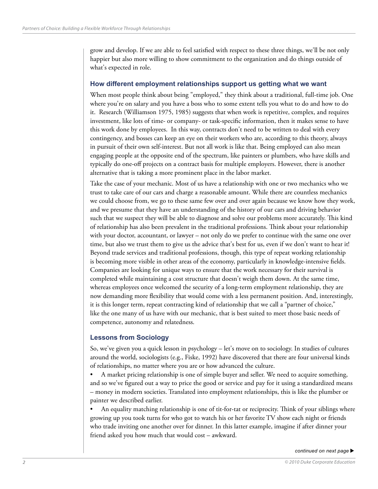grow and develop. If we are able to feel satisfied with respect to these three things, we'll be not only happier but also more willing to show commitment to the organization and do things outside of what's expected in role.

#### **How different employment relationships support us getting what we want**

When most people think about being "employed," they think about a traditional, full-time job. One where you're on salary and you have a boss who to some extent tells you what to do and how to do it. Research (Williamson 1975, 1985) suggests that when work is repetitive, complex, and requires investment, like lots of time- or company- or task-specific information, then it makes sense to have this work done by employees. In this way, contracts don't need to be written to deal with every contingency, and bosses can keep an eye on their workers who are, according to this theory, always in pursuit of their own self-interest. But not all work is like that. Being employed can also mean engaging people at the opposite end of the spectrum, like painters or plumbers, who have skills and typically do one-off projects on a contract basis for multiple employers. However, there is another alternative that is taking a more prominent place in the labor market.

Take the case of your mechanic. Most of us have a relationship with one or two mechanics who we trust to take care of our cars and charge a reasonable amount. While there are countless mechanics we could choose from, we go to these same few over and over again because we know how they work, and we presume that they have an understanding of the history of our cars and driving behavior such that we suspect they will be able to diagnose and solve our problems more accurately. This kind of relationship has also been prevalent in the traditional professions. Think about your relationship with your doctor, accountant, or lawyer – not only do we prefer to continue with the same one over time, but also we trust them to give us the advice that's best for us, even if we don't want to hear it! Beyond trade services and traditional professions, though, this type of repeat working relationship is becoming more visible in other areas of the economy, particularly in knowledge-intensive fields. Companies are looking for unique ways to ensure that the work necessary for their survival is completed while maintaining a cost structure that doesn't weigh them down. At the same time, whereas employees once welcomed the security of a long-term employment relationship, they are now demanding more flexibility that would come with a less permanent position. And, interestingly, it is this longer term, repeat contracting kind of relationship that we call a "partner of choice," like the one many of us have with our mechanic, that is best suited to meet those basic needs of competence, autonomy and relatedness.

#### **Lessons from Sociology**

So, we've given you a quick lesson in psychology – let's move on to sociology. In studies of cultures around the world, sociologists (e.g., Fiske, 1992) have discovered that there are four universal kinds of relationships, no matter where you are or how advanced the culture.

A market pricing relationship is one of simple buyer and seller. We need to acquire something, and so we've figured out a way to price the good or service and pay for it using a standardized means – money in modern societies. Translated into employment relationships, this is like the plumber or painter we described earlier.

An equality matching relationship is one of tit-for-tat or reciprocity. Think of your siblings where growing up you took turns for who got to watch his or her favorite TV show each night or friends who trade inviting one another over for dinner. In this latter example, imagine if after dinner your friend asked you how much that would cost – awkward.

 $continued$  on next page  $\blacktriangleright$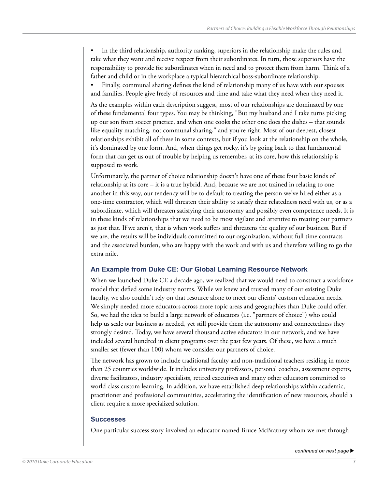In the third relationship, authority ranking, superiors in the relationship make the rules and take what they want and receive respect from their subordinates. In turn, those superiors have the responsibility to provide for subordinates when in need and to protect them from harm. Think of a father and child or in the workplace a typical hierarchical boss-subordinate relationship.

Finally, communal sharing defines the kind of relationship many of us have with our spouses and families. People give freely of resources and time and take what they need when they need it.

As the examples within each description suggest, most of our relationships are dominated by one of these fundamental four types. You may be thinking, "But my husband and I take turns picking up our son from soccer practice, and when one cooks the other one does the dishes – that sounds like equality matching, not communal sharing," and you're right. Most of our deepest, closest relationships exhibit all of these in some contexts, but if you look at the relationship on the whole, it's dominated by one form. And, when things get rocky, it's by going back to that fundamental form that can get us out of trouble by helping us remember, at its core, how this relationship is supposed to work.

Unfortunately, the partner of choice relationship doesn't have one of these four basic kinds of relationship at its core – it is a true hybrid. And, because we are not trained in relating to one another in this way, our tendency will be to default to treating the person we've hired either as a one-time contractor, which will threaten their ability to satisfy their relatedness need with us, or as a subordinate, which will threaten satisfying their autonomy and possibly even competence needs. It is in these kinds of relationships that we need to be most vigilant and attentive to treating our partners as just that. If we aren't, that is when work suffers and threatens the quality of our business. But if we are, the results will be individuals committed to our organization, without full time contracts and the associated burden, who are happy with the work and with us and therefore willing to go the extra mile.

### **An Example from Duke CE: Our Global Learning Resource Network**

When we launched Duke CE a decade ago, we realized that we would need to construct a workforce model that defied some industry norms. While we knew and trusted many of our existing Duke faculty, we also couldn't rely on that resource alone to meet our clients' custom education needs. We simply needed more educators across more topic areas and geographies than Duke could offer. So, we had the idea to build a large network of educators (i.e. "partners of choice") who could help us scale our business as needed, yet still provide them the autonomy and connectedness they strongly desired. Today, we have several thousand active educators in our network, and we have included several hundred in client programs over the past few years. Of these, we have a much smaller set (fewer than 100) whom we consider our partners of choice.

The network has grown to include traditional faculty and non-traditional teachers residing in more than 25 countries worldwide. It includes university professors, personal coaches, assessment experts, diverse facilitators, industry specialists, retired executives and many other educators committed to world class custom learning. In addition, we have established deep relationships within academic, practitioner and professional communities, accelerating the identification of new resources, should a client require a more specialized solution.

#### **Successes**

One particular success story involved an educator named Bruce McBratney whom we met through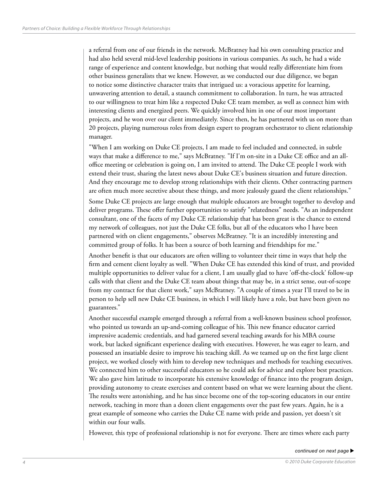a referral from one of our friends in the network. McBratney had his own consulting practice and had also held several mid-level leadership positions in various companies. As such, he had a wide range of experience and content knowledge, but nothing that would really differentiate him from other business generalists that we knew. However, as we conducted our due diligence, we began to notice some distinctive character traits that intrigued us: a voracious appetite for learning, unwavering attention to detail, a staunch commitment to collaboration. In turn, he was attracted to our willingness to treat him like a respected Duke CE team member, as well as connect him with interesting clients and energized peers. We quickly involved him in one of our most important projects, and he won over our client immediately. Since then, he has partnered with us on more than 20 projects, playing numerous roles from design expert to program orchestrator to client relationship manager.

"When I am working on Duke CE projects, I am made to feel included and connected, in subtle ways that make a difference to me," says McBratney. "If I'm on-site in a Duke CE office and an alloffice meeting or celebration is going on, I am invited to attend. The Duke CE people I work with extend their trust, sharing the latest news about Duke CE's business situation and future direction. And they encourage me to develop strong relationships with their clients. Other contracting partners are often much more secretive about these things, and more jealously guard the client relationships."

Some Duke CE projects are large enough that multiple educators are brought together to develop and deliver programs. These offer further opportunities to satisfy "relatedness" needs. "As an independent consultant, one of the facets of my Duke CE relationship that has been great is the chance to extend my network of colleagues, not just the Duke CE folks, but all of the educators who I have been partnered with on client engagements," observes McBratney. "It is an incredibly interesting and committed group of folks. It has been a source of both learning and friendships for me."

Another benefit is that our educators are often willing to volunteer their time in ways that help the firm and cement client loyalty as well. "When Duke CE has extended this kind of trust, and provided multiple opportunities to deliver value for a client, I am usually glad to have 'off-the-clock' follow-up calls with that client and the Duke CE team about things that may be, in a strict sense, out-of-scope from my contract for that client work," says McBratney. "A couple of times a year I'll travel to be in person to help sell new Duke CE business, in which I will likely have a role, but have been given no guarantees."

Another successful example emerged through a referral from a well-known business school professor, who pointed us towards an up-and-coming colleague of his. This new finance educator carried impressive academic credentials, and had garnered several teaching awards for his MBA course work, but lacked significant experience dealing with executives. However, he was eager to learn, and possessed an insatiable desire to improve his teaching skill. As we teamed up on the first large client project, we worked closely with him to develop new techniques and methods for teaching executives. We connected him to other successful educators so he could ask for advice and explore best practices. We also gave him latitude to incorporate his extensive knowledge of finance into the program design, providing autonomy to create exercises and content based on what we were learning about the client. The results were astonishing, and he has since become one of the top-scoring educators in our entire network, teaching in more than a dozen client engagements over the past few years. Again, he is a great example of someone who carries the Duke CE name with pride and passion, yet doesn't sit within our four walls.

However, this type of professional relationship is not for everyone. There are times where each party